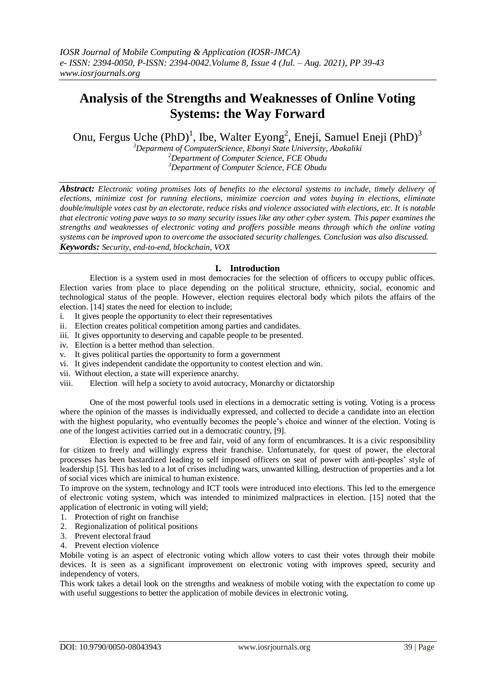# **Analysis of the Strengths and Weaknesses of Online Voting Systems: the Way Forward**

Onu, Fergus Uche (PhD)<sup>1</sup>, Ibe, Walter Eyong<sup>2</sup>, Eneji, Samuel Eneji (PhD)<sup>3</sup>

*<sup>3</sup>Deparment of ComputerScience, Ebonyi State University, Abakaliki <sup>2</sup>Department of Computer Science, FCE Obudu <sup>3</sup>Department of Computer Science, FCE Obudu*

*Abstract: Electronic voting promises lots of benefits to the electoral systems to include, timely delivery of elections, minimize cost for running elections, minimize coercion and votes buying in elections, eliminate double/multiple votes cast by an electorate, reduce risks and violence associated with elections, etc. It is notable that electronic voting pave ways to so many security issues like any other cyber system. This paper examines the strengths and weaknesses of electronic voting and proffers possible means through which the online voting systems can be improved upon to overcome the associated security challenges. Conclusion was also discussed. Keywords: Security, end-to-end, blockchain, VOX*

# **I. Introduction**

Election is a system used in most democracies for the selection of officers to occupy public offices. Election varies from place to place depending on the political structure, ethnicity, social, economic and technological status of the people. However, election requires electoral body which pilots the affairs of the election. [14] states the need for election to include;

- i. It gives people the opportunity to elect their representatives
- ii. Election creates political competition among parties and candidates.
- iii. It gives opportunity to deserving and capable people to be presented.
- iv. Election is a better method than selection.
- v. It gives political parties the opportunity to form a government
- vi. It gives independent candidate the opportunity to contest election and win.
- vii. Without election, a state will experience anarchy.
- viii. Election will help a society to avoid autocracy, Monarchy or dictatorship

One of the most powerful tools used in elections in a democratic setting is voting. Voting is a process where the opinion of the masses is individually expressed, and collected to decide a candidate into an election with the highest popularity, who eventually becomes the people's choice and winner of the election. Voting is one of the longest activities carried out in a democratic country, [9].

Election is expected to be free and fair, void of any form of encumbrances. It is a civic responsibility for citizen to freely and willingly express their franchise. Unfortunately, for quest of power, the electoral processes has been bastardized leading to self imposed officers on seat of power with anti-peoples' style of leadership [5]. This has led to a lot of crises including wars, unwanted killing, destruction of properties and a lot of social vices which are inimical to human existence.

To improve on the system, technology and ICT tools were introduced into elections. This led to the emergence of electronic voting system, which was intended to minimized malpractices in election. [15] noted that the application of electronic in voting will yield;

- 1. Protection of right on franchise
- 2. Regionalization of political positions
- 3. Prevent electoral fraud
- 4. Prevent election violence

Mobile voting is an aspect of electronic voting which allow voters to cast their votes through their mobile devices. It is seen as a significant improvement on electronic voting with improves speed, security and independency of voters.

This work takes a detail look on the strengths and weakness of mobile voting with the expectation to come up with useful suggestions to better the application of mobile devices in electronic voting.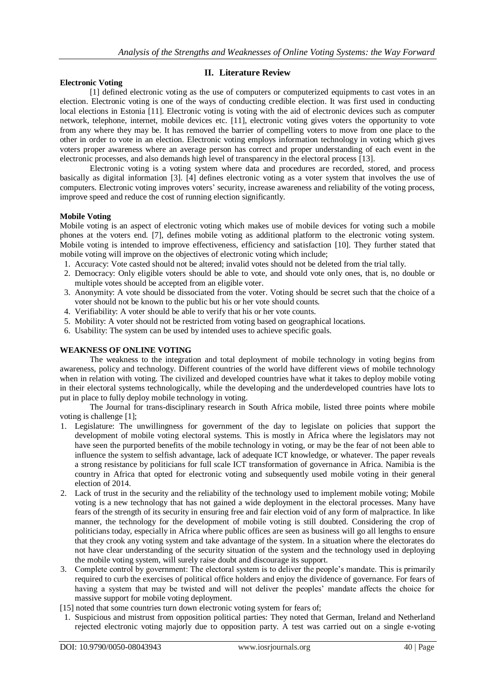# **II. Literature Review**

#### **Electronic Voting**

[1] defined electronic voting as the use of computers or computerized equipments to cast votes in an election. Electronic voting is one of the ways of conducting credible election. It was first used in conducting local elections in Estonia [11]. Electronic voting is voting with the aid of electronic devices such as computer network, telephone, internet, mobile devices etc. [11], electronic voting gives voters the opportunity to vote from any where they may be. It has removed the barrier of compelling voters to move from one place to the other in order to vote in an election. Electronic voting employs information technology in voting which gives voters proper awareness where an average person has correct and proper understanding of each event in the electronic processes, and also demands high level of transparency in the electoral process [13].

Electronic voting is a voting system where data and procedures are recorded, stored, and process basically as digital information [3]. [4] defines electronic voting as a voter system that involves the use of computers. Electronic voting improves voters' security, increase awareness and reliability of the voting process, improve speed and reduce the cost of running election significantly.

#### **Mobile Voting**

Mobile voting is an aspect of electronic voting which makes use of mobile devices for voting such a mobile phones at the voters end. [7], defines mobile voting as additional platform to the electronic voting system. Mobile voting is intended to improve effectiveness, efficiency and satisfaction [10]. They further stated that mobile voting will improve on the objectives of electronic voting which include;

- 1. Accuracy: Vote casted should not be altered; invalid votes should not be deleted from the trial tally.
- 2. Democracy: Only eligible voters should be able to vote, and should vote only ones, that is, no double or multiple votes should be accepted from an eligible voter.
- 3. Anonymity: A vote should be dissociated from the voter. Voting should be secret such that the choice of a voter should not be known to the public but his or her vote should counts.
- 4. Verifiability: A voter should be able to verify that his or her vote counts.
- 5. Mobility: A voter should not be restricted from voting based on geographical locations.
- 6. Usability: The system can be used by intended uses to achieve specific goals.

# **WEAKNESS OF ONLINE VOTING**

The weakness to the integration and total deployment of mobile technology in voting begins from awareness, policy and technology. Different countries of the world have different views of mobile technology when in relation with voting. The civilized and developed countries have what it takes to deploy mobile voting in their electoral systems technologically, while the developing and the underdeveloped countries have lots to put in place to fully deploy mobile technology in voting.

The Journal for trans-disciplinary research in South Africa mobile, listed three points where mobile voting is challenge [1];

- 1. Legislature: The unwillingness for government of the day to legislate on policies that support the development of mobile voting electoral systems. This is mostly in Africa where the legislators may not have seen the purported benefits of the mobile technology in voting, or may be the fear of not been able to influence the system to selfish advantage, lack of adequate ICT knowledge, or whatever. The paper reveals a strong resistance by politicians for full scale ICT transformation of governance in Africa. Namibia is the country in Africa that opted for electronic voting and subsequently used mobile voting in their general election of 2014.
- 2. Lack of trust in the security and the reliability of the technology used to implement mobile voting; Mobile voting is a new technology that has not gained a wide deployment in the electoral processes. Many have fears of the strength of its security in ensuring free and fair election void of any form of malpractice. In like manner, the technology for the development of mobile voting is still doubted. Considering the crop of politicians today, especially in Africa where public offices are seen as business will go all lengths to ensure that they crook any voting system and take advantage of the system. In a situation where the electorates do not have clear understanding of the security situation of the system and the technology used in deploying the mobile voting system, will surely raise doubt and discourage its support.
- 3. Complete control by government: The electoral system is to deliver the people's mandate. This is primarily required to curb the exercises of political office holders and enjoy the dividence of governance. For fears of having a system that may be twisted and will not deliver the peoples' mandate affects the choice for massive support for mobile voting deployment.
- [15] noted that some countries turn down electronic voting system for fears of;
- 1. Suspicious and mistrust from opposition political parties: They noted that German, Ireland and Netherland rejected electronic voting majorly due to opposition party. A test was carried out on a single e-voting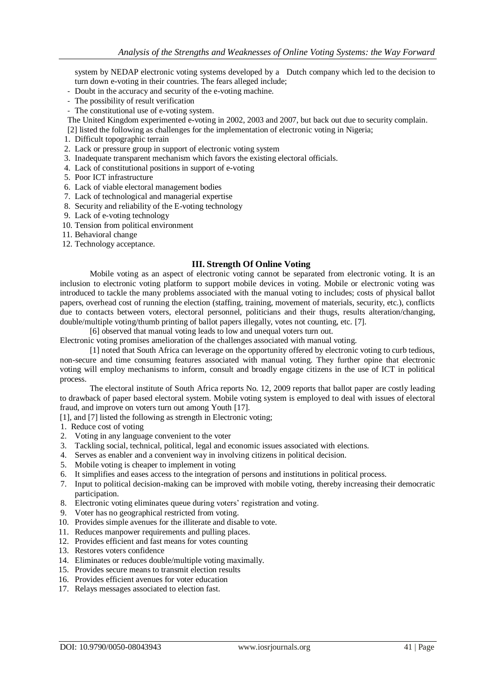system by NEDAP electronic voting systems developed by a Dutch company which led to the decision to turn down e-voting in their countries. The fears alleged include;

- Doubt in the accuracy and security of the e-voting machine.
- The possibility of result verification
- The constitutional use of e-voting system.

The United Kingdom experimented e-voting in 2002, 2003 and 2007, but back out due to security complain.

- [2] listed the following as challenges for the implementation of electronic voting in Nigeria;
- 1. Difficult topographic terrain
- 2. Lack or pressure group in support of electronic voting system
- 3. Inadequate transparent mechanism which favors the existing electoral officials.
- 4. Lack of constitutional positions in support of e-voting
- 5. Poor ICT infrastructure
- 6. Lack of viable electoral management bodies
- 7. Lack of technological and managerial expertise
- 8. Security and reliability of the E-voting technology
- 9. Lack of e-voting technology
- 10. Tension from political environment
- 11. Behavioral change
- 12. Technology acceptance.

## **III. Strength Of Online Voting**

Mobile voting as an aspect of electronic voting cannot be separated from electronic voting. It is an inclusion to electronic voting platform to support mobile devices in voting. Mobile or electronic voting was introduced to tackle the many problems associated with the manual voting to includes; costs of physical ballot papers, overhead cost of running the election (staffing, training, movement of materials, security, etc.), conflicts due to contacts between voters, electoral personnel, politicians and their thugs, results alteration/changing, double/multiple voting/thumb printing of ballot papers illegally, votes not counting, etc. [7].

[6] observed that manual voting leads to low and unequal voters turn out.

Electronic voting promises amelioration of the challenges associated with manual voting.

[1] noted that South Africa can leverage on the opportunity offered by electronic voting to curb tedious, non-secure and time consuming features associated with manual voting. They further opine that electronic voting will employ mechanisms to inform, consult and broadly engage citizens in the use of ICT in political process.

The electoral institute of South Africa reports No. 12, 2009 reports that ballot paper are costly leading to drawback of paper based electoral system. Mobile voting system is employed to deal with issues of electoral fraud, and improve on voters turn out among Youth [17].

[1], and [7] listed the following as strength in Electronic voting;

- 1. Reduce cost of voting
- 2. Voting in any language convenient to the voter
- 3. Tackling social, technical, political, legal and economic issues associated with elections.
- 4. Serves as enabler and a convenient way in involving citizens in political decision.
- 5. Mobile voting is cheaper to implement in voting
- 6. It simplifies and eases access to the integration of persons and institutions in political process.
- 7. Input to political decision-making can be improved with mobile voting, thereby increasing their democratic participation.
- 8. Electronic voting eliminates queue during voters' registration and voting.
- 9. Voter has no geographical restricted from voting.
- 10. Provides simple avenues for the illiterate and disable to vote.
- 11. Reduces manpower requirements and pulling places.
- 12. Provides efficient and fast means for votes counting
- 13. Restores voters confidence
- 14. Eliminates or reduces double/multiple voting maximally.
- 15. Provides secure means to transmit election results
- 16. Provides efficient avenues for voter education
- 17. Relays messages associated to election fast.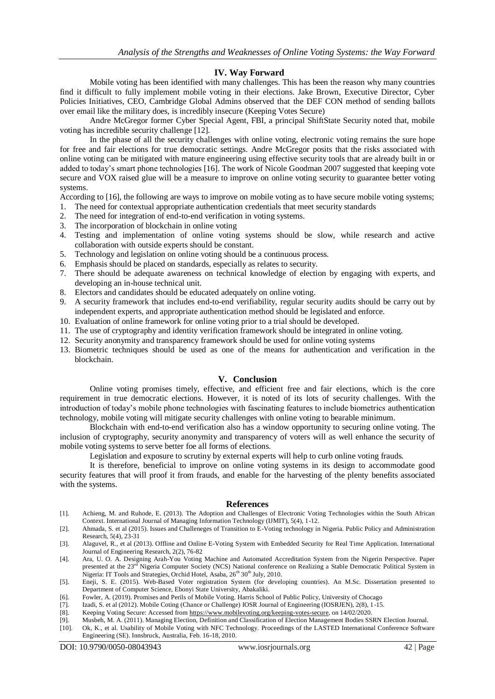### **IV. Way Forward**

Mobile voting has been identified with many challenges. This has been the reason why many countries find it difficult to fully implement mobile voting in their elections. Jake Brown, Executive Director, Cyber Policies Initiatives, CEO, Cambridge Global Admins observed that the DEF CON method of sending ballots over email like the military does, is incredibly insecure (Keeping Votes Secure)

Andre McGregor former Cyber Special Agent, FBI, a principal ShiftState Security noted that, mobile voting has incredible security challenge [12].

In the phase of all the security challenges with online voting, electronic voting remains the sure hope for free and fair elections for true democratic settings. Andre McGregor posits that the risks associated with online voting can be mitigated with mature engineering using effective security tools that are already built in or added to today's smart phone technologies [16]. The work of Nicole Goodman 2007 suggested that keeping vote secure and VOX raised glue will be a measure to improve on online voting security to guarantee better voting systems.

According to [16], the following are ways to improve on mobile voting as to have secure mobile voting systems;

- 1. The need for contextual appropriate authentication credentials that meet security standards
- 2. The need for integration of end-to-end verification in voting systems.
- 3. The incorporation of blockchain in online voting
- 4. Testing and implementation of online voting systems should be slow, while research and active collaboration with outside experts should be constant.
- 5. Technology and legislation on online voting should be a continuous process.
- 6. Emphasis should be placed on standards, especially as relates to security.
- 7. There should be adequate awareness on technical knowledge of election by engaging with experts, and developing an in-house technical unit.
- 8. Electors and candidates should be educated adequately on online voting.
- 9. A security framework that includes end-to-end verifiability, regular security audits should be carry out by independent experts, and appropriate authentication method should be legislated and enforce.
- 10. Evaluation of online framework for online voting prior to a trial should be developed.
- 11. The use of cryptography and identity verification framework should be integrated in online voting.
- 12. Security anonymity and transparency framework should be used for online voting systems
- 13. Biometric techniques should be used as one of the means for authentication and verification in the blockchain.

#### **V. Conclusion**

Online voting promises timely, effective, and efficient free and fair elections, which is the core requirement in true democratic elections. However, it is noted of its lots of security challenges. With the introduction of today's mobile phone technologies with fascinating features to include biometrics authentication technology, mobile voting will mitigate security challenges with online voting to bearable minimum.

Blockchain with end-to-end verification also has a window opportunity to securing online voting. The inclusion of cryptography, security anonymity and transparency of voters will as well enhance the security of mobile voting systems to serve better foe all forms of elections.

Legislation and exposure to scrutiny by external experts will help to curb online voting frauds.

It is therefore, beneficial to improve on online voting systems in its design to accommodate good security features that will proof it from frauds, and enable for the harvesting of the plenty benefits associated with the systems.

#### **References**

- [1]. Achieng, M. and Ruhode, E. (2013). The Adoption and Challenges of Electronic Voting Technologies within the South African Context. International Journal of Managing Information Technology (IJMIT), 5(4), 1-12.
- [2]. Ahmada, S. et al (2015). Issues and Challeneges of Transition to E-Voting technology in Nigeria. Public Policy and Administration Research, 5(4), 23-31
- [3]. Alaguvel, R., et al (2013). Offline and Online E-Voting System with Embedded Security for Real Time Application. International Journal of Engineering Research, 2(2), 76-82
- [4]. Ara, U. O. A. Designing Arah-You Voting Machine and Automated Accreditation System from the Nigerin Perspective. Paper presented at the 23<sup>rd</sup> Nigeria Computer Society (NCS) National conference on Realizing a Stable Democratic Political System in Nigeria: IT Tools and Strategies, Orchid Hotel, Asaba,  $26<sup>th</sup> 30<sup>th</sup>$  July, 2010.
- [5]. Eneji, S. E. (2015). Web-Based Voter registration System (for developing countries). An M.Sc. Dissertation presented to Department of Computer Science, Ebonyi State University, Abakaliki.
- [6]. Fowler, A. (2019). Promises and Perils of Mobile Voting. Harris School of Public Policy, University of Chocago
- [7]. Izadi, S. et al (2012). Mobile Coting (Chance or Challenge) IOSR Journal of Engineering (IOSRJEN), 2(8), 1-15.
- [8]. Keeping Voting Secure: Accessed from [https://www.mobilevoting.org/keeping-votes-secure,](https://www.mobilevoting.org/keeping-votes-secure) on 14/02/2020.
- [9]. Musbeh, M. A. (2011). Managing Election, Definition and Classification of Election Management Bodies SSRN Election Journal.
- [10]. Ok, K., et al. Usability of Mobile Voting with NFC Technology. Proceedings of the LASTED International Conference Software Engineering (SE). Innsbruck, Australia, Feb. 16-18, 2010.